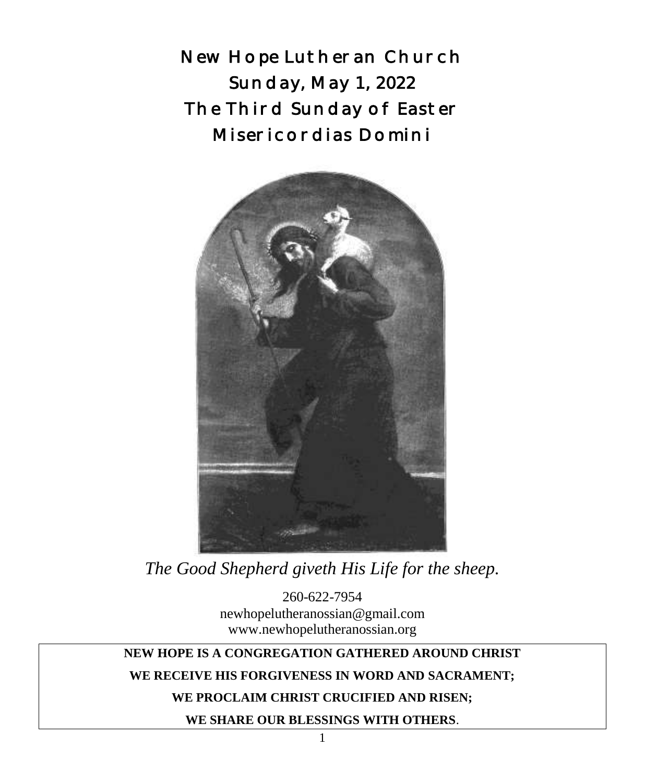New Hope Lutheran Church Sunday, May 1, 2022 The Third Sunday of Easter Misericordias Domini



*The Good Shepherd giveth His Life for the sheep.*

260-622-7954 newhopelutheranossian@gmail.com www.newhopelutheranossian.org

# **NEW HOPE IS A CONGREGATION GATHERED AROUND CHRIST**

#### **WE RECEIVE HIS FORGIVENESS IN WORD AND SACRAMENT;**

#### **WE PROCLAIM CHRIST CRUCIFIED AND RISEN;**

**WE SHARE OUR BLESSINGS WITH OTHERS**.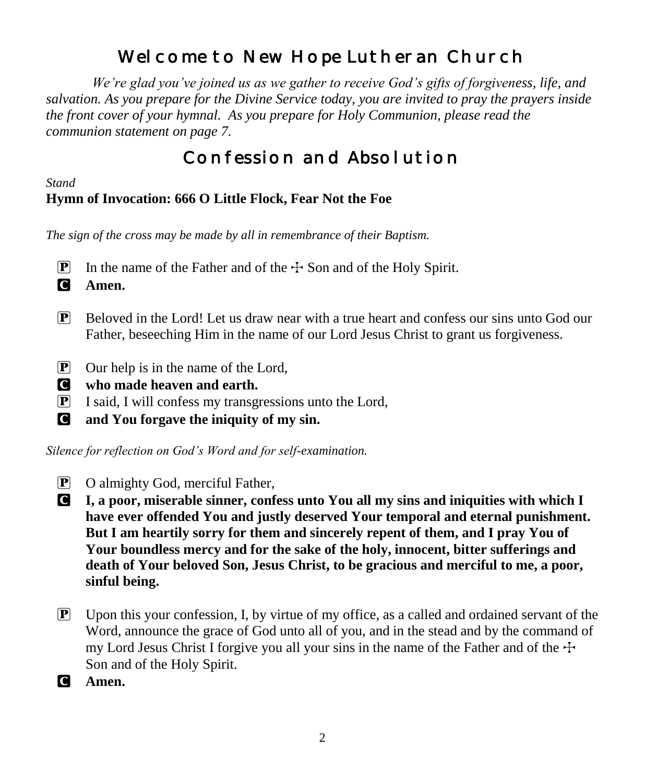# Welcome to New Hope Lutheran Church

 *We're glad you've joined us as we gather to receive God's gifts of forgiveness, life, and salvation. As you prepare for the Divine Service today, you are invited to pray the prayers inside the front cover of your hymnal. As you prepare for Holy Communion, please read the communion statement on page 7.*

# Confession and Absolution

### *Stand*

# **Hymn of Invocation: 666 O Little Flock, Fear Not the Foe**

*The sign of the cross may be made by all in remembrance of their Baptism.*

- **P** In the name of the Father and of the  $\pm$  Son and of the Holy Spirit.
- C **Amen.**
- $\mathbb{P}$  Beloved in the Lord! Let us draw near with a true heart and confess our sins unto God our Father, beseeching Him in the name of our Lord Jesus Christ to grant us forgiveness.
- P Our help is in the name of the Lord,
- C **who made heaven and earth.**
- P I said, I will confess my transgressions unto the Lord,
- C **and You forgave the iniquity of my sin.**

*Silence for reflection on God's Word and for self-examination.*

- P O almighty God, merciful Father,
- C **I, a poor, miserable sinner, confess unto You all my sins and iniquities with which I have ever offended You and justly deserved Your temporal and eternal punishment. But I am heartily sorry for them and sincerely repent of them, and I pray You of Your boundless mercy and for the sake of the holy, innocent, bitter sufferings and death of Your beloved Son, Jesus Christ, to be gracious and merciful to me, a poor, sinful being.**
- $\mathbf{P}$  Upon this your confession, I, by virtue of my office, as a called and ordained servant of the Word, announce the grace of God unto all of you, and in the stead and by the command of my Lord Jesus Christ I forgive you all your sins in the name of the Father and of the  $\pm$ Son and of the Holy Spirit.
- C **Amen.**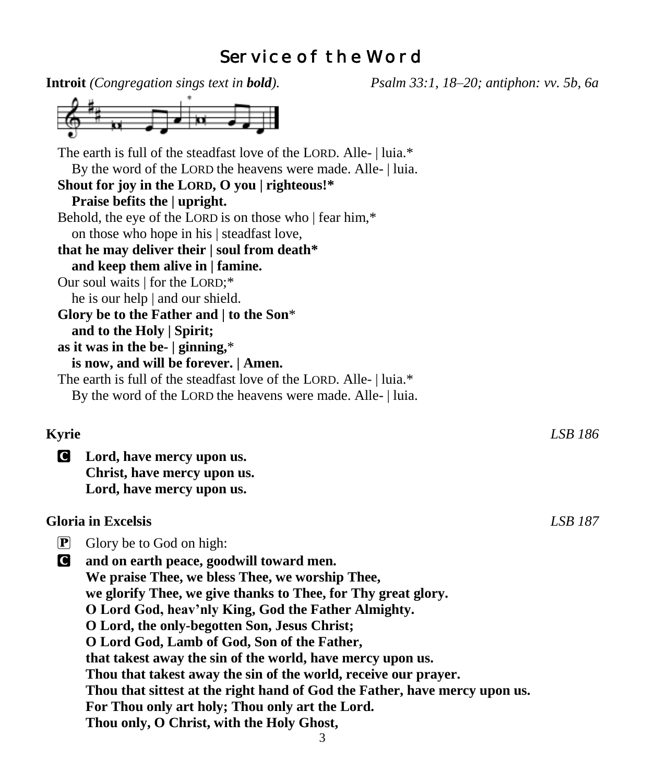# Service of the Word

|                                                                                                                               | <b>Introit</b> (Congregation sings text in <b>bold</b> ).           | Psalm 33:1, 18–20; antiphon: vv. 5b, 6a |                |  |  |
|-------------------------------------------------------------------------------------------------------------------------------|---------------------------------------------------------------------|-----------------------------------------|----------------|--|--|
|                                                                                                                               |                                                                     |                                         |                |  |  |
|                                                                                                                               | The earth is full of the steadfast love of the LORD. Alle-   luia.* |                                         |                |  |  |
|                                                                                                                               | By the word of the LORD the heavens were made. Alle-   luia.        |                                         |                |  |  |
|                                                                                                                               | Shout for joy in the LORD, O you   righteous!*                      |                                         |                |  |  |
|                                                                                                                               | Praise befits the   upright.                                        |                                         |                |  |  |
|                                                                                                                               | Behold, the eye of the LORD is on those who   fear him,*            |                                         |                |  |  |
|                                                                                                                               | on those who hope in his   steadfast love,                          |                                         |                |  |  |
|                                                                                                                               | that he may deliver their   soul from death*                        |                                         |                |  |  |
|                                                                                                                               | and keep them alive in   famine.                                    |                                         |                |  |  |
|                                                                                                                               | Our soul waits   for the LORD;*                                     |                                         |                |  |  |
|                                                                                                                               | he is our help   and our shield.                                    |                                         |                |  |  |
|                                                                                                                               | Glory be to the Father and $ $ to the Son*                          |                                         |                |  |  |
|                                                                                                                               | and to the Holy   Spirit;                                           |                                         |                |  |  |
|                                                                                                                               | as it was in the be- $ $ ginning,*                                  |                                         |                |  |  |
|                                                                                                                               | is now, and will be forever.   Amen.                                |                                         |                |  |  |
|                                                                                                                               | The earth is full of the steadfast love of the LORD. Alle-   luia.* |                                         |                |  |  |
|                                                                                                                               | By the word of the LORD the heavens were made. Alle-   luia.        |                                         |                |  |  |
| <b>Kyrie</b>                                                                                                                  |                                                                     |                                         | LSB 186        |  |  |
|                                                                                                                               |                                                                     |                                         |                |  |  |
| C                                                                                                                             | Lord, have mercy upon us.                                           |                                         |                |  |  |
|                                                                                                                               | Christ, have mercy upon us.                                         |                                         |                |  |  |
|                                                                                                                               | Lord, have mercy upon us.                                           |                                         |                |  |  |
| <b>Gloria</b> in Excelsis                                                                                                     |                                                                     |                                         | <b>LSB 187</b> |  |  |
| $\left[\mathbf{P}\right]$                                                                                                     | Glory be to God on high:                                            |                                         |                |  |  |
| C                                                                                                                             | and on earth peace, goodwill toward men.                            |                                         |                |  |  |
|                                                                                                                               | We praise Thee, we bless Thee, we worship Thee,                     |                                         |                |  |  |
|                                                                                                                               | we glorify Thee, we give thanks to Thee, for Thy great glory.       |                                         |                |  |  |
|                                                                                                                               | O Lord God, heav'nly King, God the Father Almighty.                 |                                         |                |  |  |
|                                                                                                                               | O Lord, the only-begotten Son, Jesus Christ;                        |                                         |                |  |  |
|                                                                                                                               | O Lord God, Lamb of God, Son of the Father,                         |                                         |                |  |  |
| that takest away the sin of the world, have mercy upon us.<br>Thou that takest away the sin of the world, receive our prayer. |                                                                     |                                         |                |  |  |
|                                                                                                                               |                                                                     |                                         |                |  |  |
|                                                                                                                               | For Thou only art holy; Thou only art the Lord.                     |                                         |                |  |  |
|                                                                                                                               | Thou only, O Christ, with the Holy Ghost,                           |                                         |                |  |  |
|                                                                                                                               | 3                                                                   |                                         |                |  |  |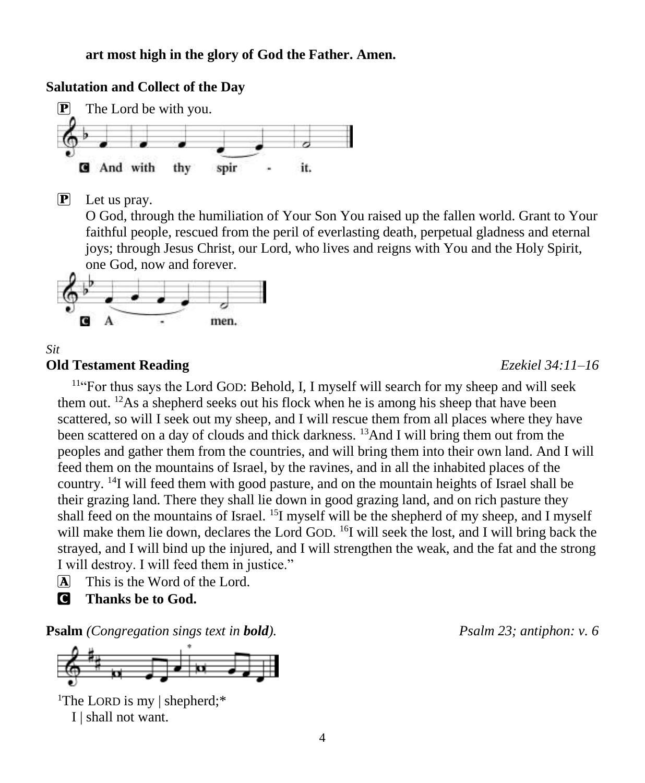### **Salutation and Collect of the Day**



P Let us pray.

O God, through the humiliation of Your Son You raised up the fallen world. Grant to Your faithful people, rescued from the peril of everlasting death, perpetual gladness and eternal joys; through Jesus Christ, our Lord, who lives and reigns with You and the Holy Spirit, one God, now and forever.



#### *Sit* **Old Testament Reading** *Ezekiel 34:11–16*

<sup>11</sup>"For thus says the Lord GOD: Behold, I, I myself will search for my sheep and will seek them out. <sup>12</sup>As a shepherd seeks out his flock when he is among his sheep that have been scattered, so will I seek out my sheep, and I will rescue them from all places where they have been scattered on a day of clouds and thick darkness. <sup>13</sup>And I will bring them out from the peoples and gather them from the countries, and will bring them into their own land. And I will feed them on the mountains of Israel, by the ravines, and in all the inhabited places of the country. <sup>14</sup>I will feed them with good pasture, and on the mountain heights of Israel shall be their grazing land. There they shall lie down in good grazing land, and on rich pasture they shall feed on the mountains of Israel. <sup>15</sup>I myself will be the shepherd of my sheep, and I myself will make them lie down, declares the Lord GOD. <sup>16</sup>I will seek the lost, and I will bring back the strayed, and I will bind up the injured, and I will strengthen the weak, and the fat and the strong I will destroy. I will feed them in justice."

- A This is the Word of the Lord.
- C **Thanks be to God.**

**Psalm** *(Congregation sings text in bold). Psalm 23; antiphon: v. 6*

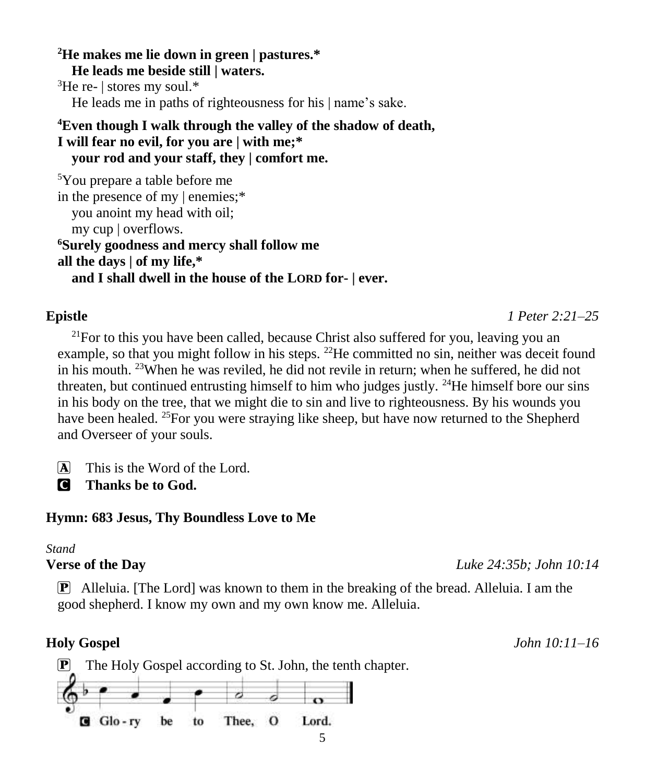**<sup>2</sup>He makes me lie down in green | pastures.\* He leads me beside still | waters.**  ${}^{3}$ He re- | stores my soul.\*

He leads me in paths of righteousness for his | name's sake.

## **<sup>4</sup>Even though I walk through the valley of the shadow of death, I will fear no evil, for you are | with me;\* your rod and your staff, they | comfort me.**

```
5You prepare a table before me
in the presence of my | enemies;*
  you anoint my head with oil;
  my cup | overflows.
6Surely goodness and mercy shall follow me
all the days | of my life,*
  and I shall dwell in the house of the LORD for- | ever.
```
# **Epistle** *1 Peter 2:21–25*

 $21$  For to this you have been called, because Christ also suffered for you, leaving you an example, so that you might follow in his steps. <sup>22</sup>He committed no sin, neither was deceit found in his mouth. <sup>23</sup>When he was reviled, he did not revile in return; when he suffered, he did not threaten, but continued entrusting himself to him who judges justly.  $^{24}$ He himself bore our sins in his body on the tree, that we might die to sin and live to righteousness. By his wounds you have been healed. <sup>25</sup>For you were straying like sheep, but have now returned to the Shepherd and Overseer of your souls.

 $\overline{A}$  This is the Word of the Lord.

C **Thanks be to God.**

# **Hymn: 683 Jesus, Thy Boundless Love to Me**

# *Stand*

# **Verse of the Day** *Luke 24:35b; John 10:14*

P Alleluia. [The Lord] was known to them in the breaking of the bread. Alleluia. I am the good shepherd. I know my own and my own know me. Alleluia.

**Holy Gospel** *John 10:11–16*

 $\mathbf{P}$  The Holy Gospel according to St. John, the tenth chapter. Thee, O  $G$  Glo-rv be to Lord.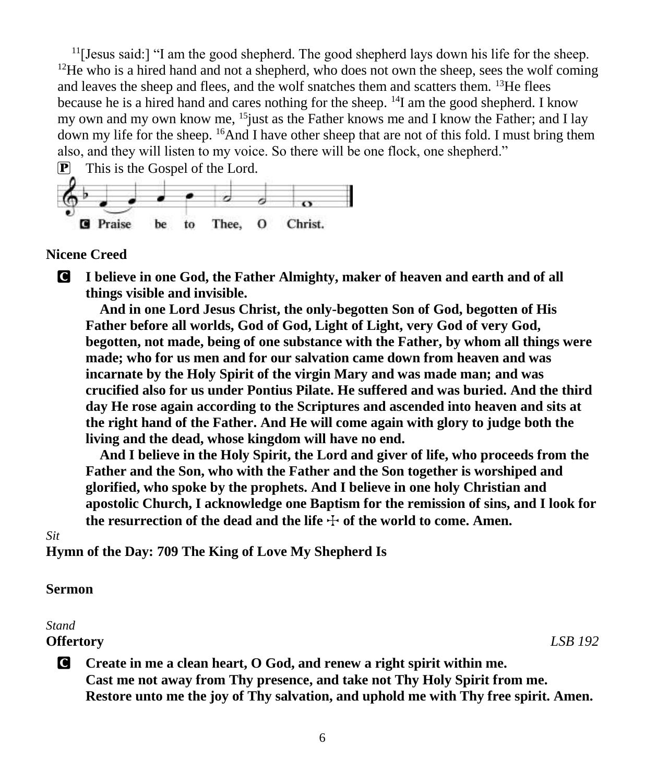$11$ [Jesus said:] "I am the good shepherd. The good shepherd lays down his life for the sheep.  $12$ He who is a hired hand and not a shepherd, who does not own the sheep, sees the wolf coming and leaves the sheep and flees, and the wolf snatches them and scatters them.  $13$ He flees because he is a hired hand and cares nothing for the sheep.  $^{14}I$  am the good shepherd. I know my own and my own know me,  $15$  just as the Father knows me and I know the Father; and I lay down my life for the sheep. <sup>16</sup>And I have other sheep that are not of this fold. I must bring them also, and they will listen to my voice. So there will be one flock, one shepherd."



### **Nicene Creed**

C **I believe in one God, the Father Almighty, maker of heaven and earth and of all things visible and invisible.**

**And in one Lord Jesus Christ, the only-begotten Son of God, begotten of His Father before all worlds, God of God, Light of Light, very God of very God, begotten, not made, being of one substance with the Father, by whom all things were made; who for us men and for our salvation came down from heaven and was incarnate by the Holy Spirit of the virgin Mary and was made man; and was crucified also for us under Pontius Pilate. He suffered and was buried. And the third day He rose again according to the Scriptures and ascended into heaven and sits at the right hand of the Father. And He will come again with glory to judge both the living and the dead, whose kingdom will have no end.**

**And I believe in the Holy Spirit, the Lord and giver of life, who proceeds from the Father and the Son, who with the Father and the Son together is worshiped and glorified, who spoke by the prophets. And I believe in one holy Christian and apostolic Church, I acknowledge one Baptism for the remission of sins, and I look for**  the resurrection of the dead and the life  $\div$  of the world to come. Amen.

#### *Sit*

**Hymn of the Day: 709 The King of Love My Shepherd Is**

### **Sermon**

#### *Stand*

#### **Offertory** *LSB 192*

C **Create in me a clean heart, O God, and renew a right spirit within me. Cast me not away from Thy presence, and take not Thy Holy Spirit from me. Restore unto me the joy of Thy salvation, and uphold me with Thy free spirit. Amen.**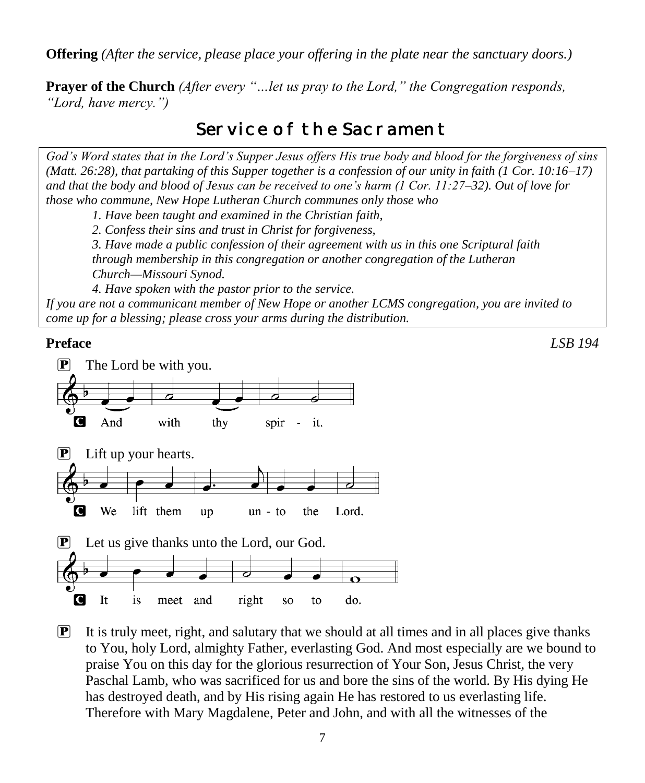**Offering** *(After the service, please place your offering in the plate near the sanctuary doors.)*

**Prayer of the Church** *(After every "…let us pray to the Lord," the Congregation responds, "Lord, have mercy.")*

# Service of the Sacrament

*God's Word states that in the Lord's Supper Jesus offers His true body and blood for the forgiveness of sins (Matt. 26:28), that partaking of this Supper together is a confession of our unity in faith (1 Cor. 10:16–17) and that the body and blood of Jesus can be received to one's harm (1 Cor. 11:27–32). Out of love for those who commune, New Hope Lutheran Church communes only those who*

*1. Have been taught and examined in the Christian faith,* 

*2. Confess their sins and trust in Christ for forgiveness,* 

*3. Have made a public confession of their agreement with us in this one Scriptural faith through membership in this congregation or another congregation of the Lutheran Church—Missouri Synod.* 

*4. Have spoken with the pastor prior to the service.*

*If you are not a communicant member of New Hope or another LCMS congregation, you are invited to come up for a blessing; please cross your arms during the distribution.*



 $\mathbf{P}$  It is truly meet, right, and salutary that we should at all times and in all places give thanks to You, holy Lord, almighty Father, everlasting God. And most especially are we bound to praise You on this day for the glorious resurrection of Your Son, Jesus Christ, the very Paschal Lamb, who was sacrificed for us and bore the sins of the world. By His dying He has destroyed death, and by His rising again He has restored to us everlasting life. Therefore with Mary Magdalene, Peter and John, and with all the witnesses of the

**Preface** *LSB 194*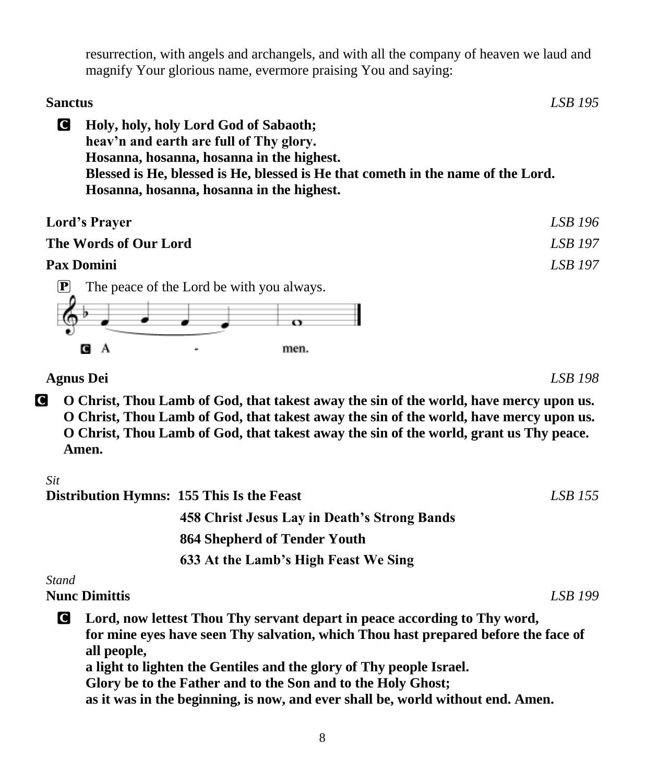resurrection, with angels and archangels, and with all the company of heaven we laud and magnify Your glorious name, evermore praising You and saying:

# **Sanctus** *LSB 195* C **Holy, holy, holy Lord God of Sabaoth; heav'n and earth are full of Thy glory. Hosanna, hosanna, hosanna in the highest. Blessed is He, blessed is He, blessed is He that cometh in the name of the Lord. Hosanna, hosanna, hosanna in the highest.**

| <b>Lord's Prayer</b>                      | LSB 196 |
|-------------------------------------------|---------|
| The Words of Our Lord                     |         |
| Pax Domini                                | LSB 197 |
| The peace of the Lord be with you always. |         |



**Agnus Dei** *LSB 198*

C **O Christ, Thou Lamb of God, that takest away the sin of the world, have mercy upon us. O Christ, Thou Lamb of God, that takest away the sin of the world, have mercy upon us. O Christ, Thou Lamb of God, that takest away the sin of the world, grant us Thy peace. Amen.**

*Sit*

|          |                      | Distribution Hymns: 155 This Is the Feast                                                                                                                                                                                                                                                              | LSB 155 |
|----------|----------------------|--------------------------------------------------------------------------------------------------------------------------------------------------------------------------------------------------------------------------------------------------------------------------------------------------------|---------|
|          |                      | 458 Christ Jesus Lay in Death's Strong Bands                                                                                                                                                                                                                                                           |         |
|          |                      | 864 Shepherd of Tender Youth                                                                                                                                                                                                                                                                           |         |
|          |                      | 633 At the Lamb's High Feast We Sing                                                                                                                                                                                                                                                                   |         |
| Stand    |                      |                                                                                                                                                                                                                                                                                                        |         |
|          | <b>Nunc Dimittis</b> |                                                                                                                                                                                                                                                                                                        | LSB 199 |
| <b>C</b> | all people,          | Lord, now lettest Thou Thy servant depart in peace according to Thy word,<br>for mine eyes have seen Thy salvation, which Thou hast prepared before the face of<br>a light to lighten the Gentiles and the glory of Thy people Israel.<br>Glory be to the Father and to the Son and to the Holy Ghost; |         |

**as it was in the beginning, is now, and ever shall be, world without end. Amen.**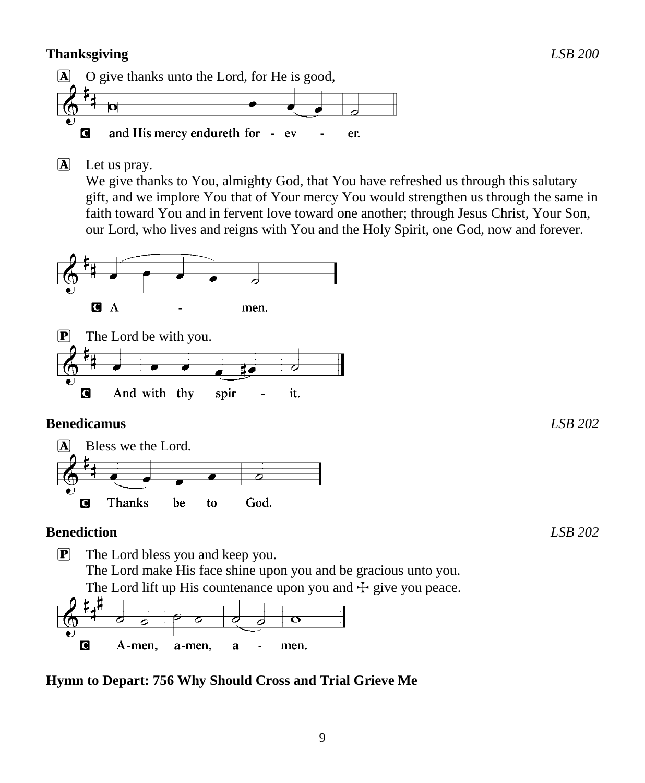# **Thanksgiving** *LSB 200*



A Let us pray.

We give thanks to You, almighty God, that You have refreshed us through this salutary gift, and we implore You that of Your mercy You would strengthen us through the same in faith toward You and in fervent love toward one another; through Jesus Christ, Your Son, our Lord, who lives and reigns with You and the Holy Spirit, one God, now and forever.



# **Benedicamus** *LSB 202*



## **Benediction** *LSB 202*

P The Lord bless you and keep you. The Lord make His face shine upon you and be gracious unto you. The Lord lift up His countenance upon you and  $\pm$  give you peace.<br> $\sharp_{\mathfrak{u}}\sharp$  $\overline{\mathbf{o}}$ d ठ Ō O A-men, a-men, a men.

# **Hymn to Depart: 756 Why Should Cross and Trial Grieve Me**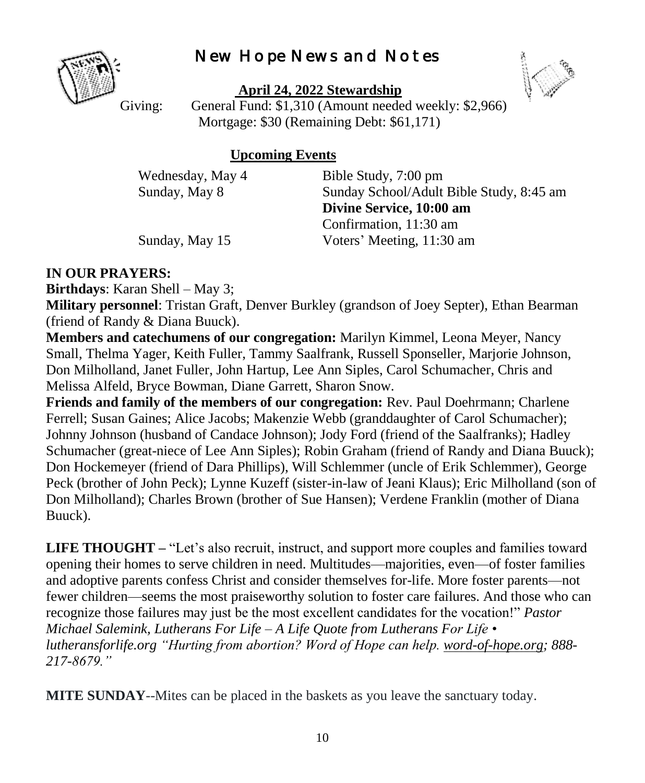# New Hope News and Notes



**April 24, 2022 Stewardship**



Giving: General Fund: \$1,310 (Amount needed weekly: \$2,966) Mortgage: \$30 (Remaining Debt: \$61,171)

## **Upcoming Events**

Wednesday, May 4 Bible Study, 7:00 pm Sunday, May 8 Sunday School/Adult Bible Study, 8:45 am **Divine Service, 10:00 am** Confirmation, 11:30 am Sunday, May 15 Voters' Meeting, 11:30 am

## **IN OUR PRAYERS:**

**Birthdays**: Karan Shell – May 3;

**Military personnel**: Tristan Graft, Denver Burkley (grandson of Joey Septer), Ethan Bearman (friend of Randy & Diana Buuck).

**Members and catechumens of our congregation:** Marilyn Kimmel, Leona Meyer, Nancy Small, Thelma Yager, Keith Fuller, Tammy Saalfrank, Russell Sponseller, Marjorie Johnson, Don Milholland, Janet Fuller, John Hartup, Lee Ann Siples, Carol Schumacher, Chris and Melissa Alfeld, Bryce Bowman, Diane Garrett, Sharon Snow.

**Friends and family of the members of our congregation:** Rev. Paul Doehrmann; Charlene Ferrell; Susan Gaines; Alice Jacobs; Makenzie Webb (granddaughter of Carol Schumacher); Johnny Johnson (husband of Candace Johnson); Jody Ford (friend of the Saalfranks); Hadley Schumacher (great-niece of Lee Ann Siples); Robin Graham (friend of Randy and Diana Buuck); Don Hockemeyer (friend of Dara Phillips), Will Schlemmer (uncle of Erik Schlemmer), George Peck (brother of John Peck); Lynne Kuzeff (sister-in-law of Jeani Klaus); Eric Milholland (son of Don Milholland); Charles Brown (brother of Sue Hansen); Verdene Franklin (mother of Diana Buuck).

**LIFE THOUGHT –** "Let's also recruit, instruct, and support more couples and families toward opening their homes to serve children in need. Multitudes—majorities, even—of foster families and adoptive parents confess Christ and consider themselves for-life. More foster parents—not fewer children—seems the most praiseworthy solution to foster care failures. And those who can recognize those failures may just be the most excellent candidates for the vocation!" *Pastor Michael Salemink, Lutherans For Life – A Life Quote from Lutherans For Life • lutheransforlife.org "Hurting from abortion? Word of Hope can help. [word-of-hope.org;](https://word-of-hope.org/) 888- 217-8679."*

**MITE SUNDAY**--Mites can be placed in the baskets as you leave the sanctuary today.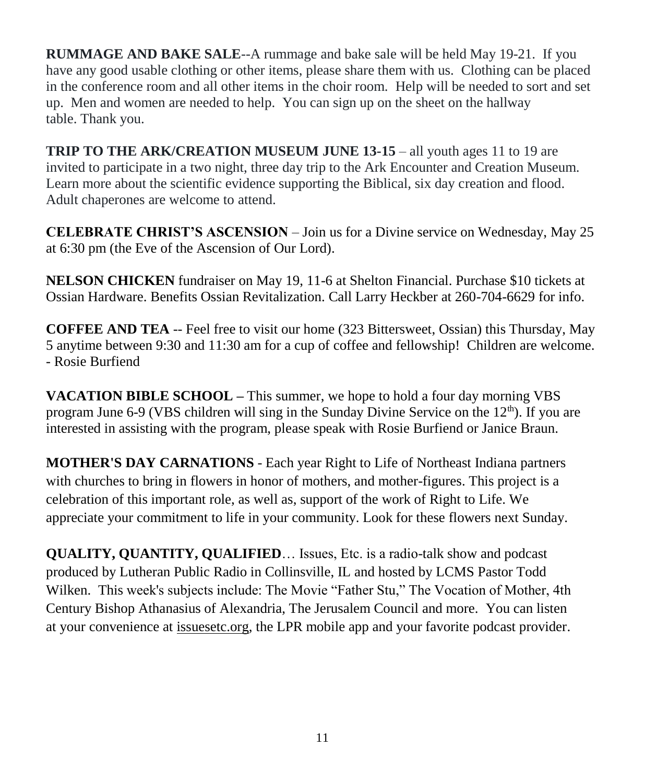**RUMMAGE AND BAKE SALE**--A rummage and bake sale will be held May 19-21. If you have any good usable clothing or other items, please share them with us. Clothing can be placed in the conference room and all other items in the choir room. Help will be needed to sort and set up. Men and women are needed to help. You can sign up on the sheet on the hallway table. Thank you.

**TRIP TO THE ARK/CREATION MUSEUM JUNE 13-15** – all youth ages 11 to 19 are invited to participate in a two night, three day trip to the Ark Encounter and Creation Museum. Learn more about the scientific evidence supporting the Biblical, six day creation and flood. Adult chaperones are welcome to attend.

**CELEBRATE CHRIST'S ASCENSION** – Join us for a Divine service on Wednesday, May 25 at 6:30 pm (the Eve of the Ascension of Our Lord).

**NELSON CHICKEN** fundraiser on May 19, 11-6 at Shelton Financial. Purchase \$10 tickets at Ossian Hardware. Benefits Ossian Revitalization. Call Larry Heckber at 260-704-6629 for info.

**COFFEE AND TEA** -- Feel free to visit our home (323 Bittersweet, Ossian) this Thursday, May 5 anytime between 9:30 and 11:30 am for a cup of coffee and fellowship! Children are welcome. - Rosie Burfiend

**VACATION BIBLE SCHOOL –** This summer, we hope to hold a four day morning VBS program June 6-9 (VBS children will sing in the Sunday Divine Service on the  $12<sup>th</sup>$ ). If you are interested in assisting with the program, please speak with Rosie Burfiend or Janice Braun.

**MOTHER'S DAY CARNATIONS** - Each year Right to Life of Northeast Indiana partners with churches to bring in flowers in honor of mothers, and mother-figures. This project is a celebration of this important role, as well as, support of the work of Right to Life. We appreciate your commitment to life in your community. Look for these flowers next Sunday.

**QUALITY, QUANTITY, QUALIFIED**… Issues, Etc. is a radio-talk show and podcast produced by Lutheran Public Radio in Collinsville, IL and hosted by LCMS Pastor Todd Wilken. This week's subjects include: The Movie "Father Stu," The Vocation of Mother, 4th Century Bishop Athanasius of Alexandria, The Jerusalem Council and more. You can listen at your convenience at [issuesetc.org,](https://r20.rs6.net/tn.jsp?f=0010IkSKDXMdBe94qFARnkOOw0QPooz4-UURldfv9ufj0DFOXEzz8w6wC3mGPNHh0bUtEkuhxLZSH23n0lxx2NKNaUdPFXEzwZwBGkqcXPZNS-v1ER5BmrDgnZs32VkcpUteE7tB3umNICs8LuG39C17w==&c=3kIUC4pwiWiaT_v0w-mU097TAgtpuFa-q-YVzNavWyDiVk1Fb3rmIA==&ch=jCjPo2ey_YaLJOrlOFSqdagv_HDkfZBJLZbWDbHXSJ9dxYaVR6ILbg==) the LPR mobile app and your favorite podcast provider.